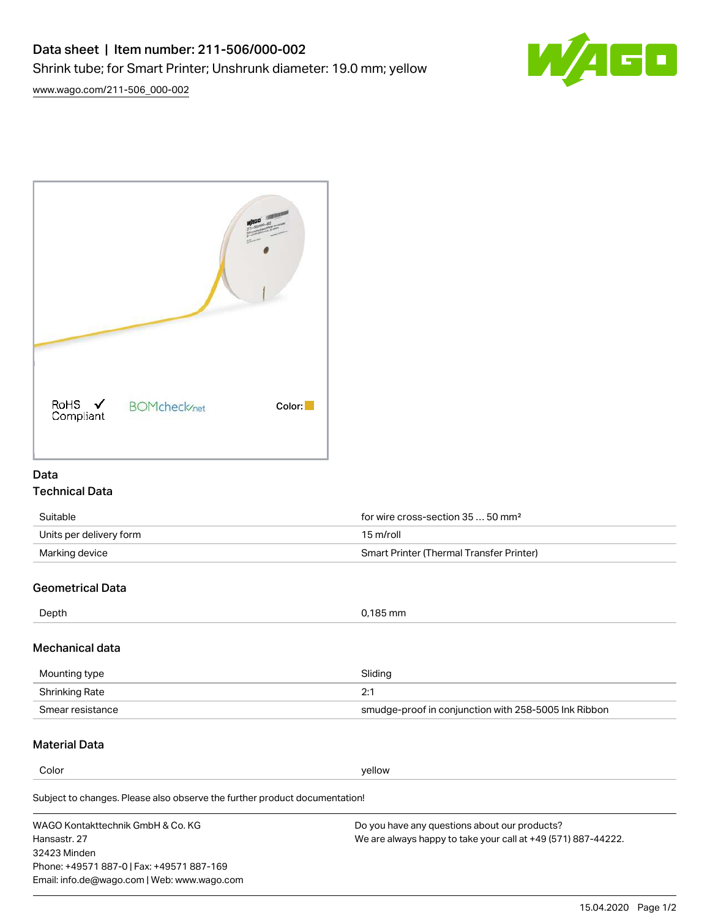

RoHS  $\checkmark$ **BOMcheck**<sub>net</sub> Color: Compliant

## Data Technical Data

| Suitable                | for wire cross-section $3550$ mm <sup>2</sup> |  |
|-------------------------|-----------------------------------------------|--|
| Units per delivery form | 15 m/roll                                     |  |
| Marking device          | Smart Printer (Thermal Transfer Printer)      |  |

# Geometrical Data

| Depth           | 0,185 mm |
|-----------------|----------|
| Mechanical data |          |

| Mounting type    | Sliding                                              |  |
|------------------|------------------------------------------------------|--|
| Shrinking Rate   | ำ∙                                                   |  |
| Smear resistance | smudge-proof in conjunction with 258-5005 Ink Ribbon |  |

# Material Data

**Color** yellow yellow

Subject to changes. Please also observe the further product documentation!

WAGO Kontakttechnik GmbH & Co. KG Hansastr. 27 32423 Minden Phone: +49571 887-0 | Fax: +49571 887-169 Email: info.de@wago.com | Web: www.wago.com Do you have any questions about our products? We are always happy to take your call at +49 (571) 887-44222.